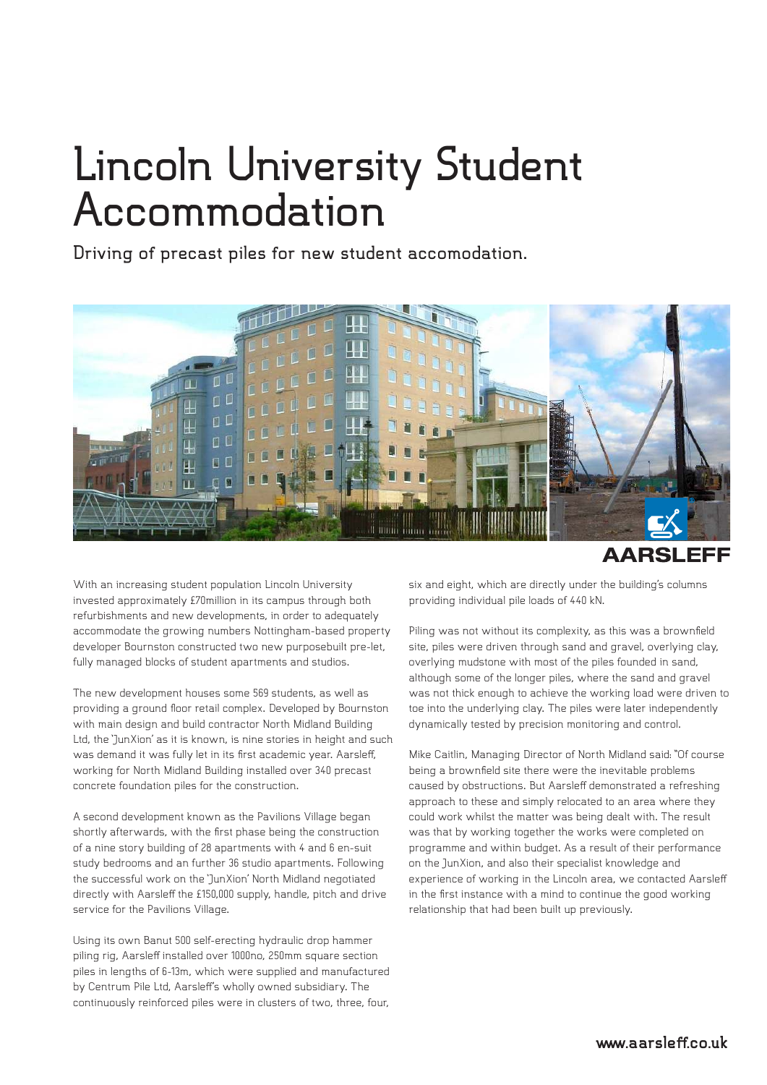## **Lincoln University Student Accommodation**

**Driving of precast piles for new student accomodation.**



**AARSLEFF** 

With an increasing student population Lincoln University invested approximately £70million in its campus through both refurbishments and new developments, in order to adequately accommodate the growing numbers Nottingham-based property developer Bournston constructed two new purposebuilt pre-let, fully managed blocks of student apartments and studios.

The new development houses some 569 students, as well as providing a ground floor retail complex. Developed by Bournston with main design and build contractor North Midland Building Ltd, the 'JunXion' as it is known, is nine stories in height and such was demand it was fully let in its first academic year. Aarsleff, working for North Midland Building installed over 340 precast concrete foundation piles for the construction.

A second development known as the Pavilions Village began shortly afterwards, with the first phase being the construction of a nine story building of 28 apartments with 4 and 6 en-suit study bedrooms and an further 36 studio apartments. Following the successful work on the 'JunXion' North Midland negotiated directly with Aarsleff the £150,000 supply, handle, pitch and drive service for the Pavilions Village.

Using its own Banut 500 self-erecting hydraulic drop hammer piling rig, Aarsleff installed over 1000no, 250mm square section piles in lengths of 6-13m, which were supplied and manufactured by Centrum Pile Ltd, Aarsleff's wholly owned subsidiary. The continuously reinforced piles were in clusters of two, three, four,

six and eight, which are directly under the building's columns providing individual pile loads of 440 kN.

Piling was not without its complexity, as this was a brownfield site, piles were driven through sand and gravel, overlying clay, overlying mudstone with most of the piles founded in sand, although some of the longer piles, where the sand and gravel was not thick enough to achieve the working load were driven to toe into the underlying clay. The piles were later independently dynamically tested by precision monitoring and control.

Mike Caitlin, Managing Director of North Midland said: "Of course being a brownfield site there were the inevitable problems caused by obstructions. But Aarsleff demonstrated a refreshing approach to these and simply relocated to an area where they could work whilst the matter was being dealt with. The result was that by working together the works were completed on programme and within budget. As a result of their performance on the JunXion, and also their specialist knowledge and experience of working in the Lincoln area, we contacted Aarsleff in the first instance with a mind to continue the good working relationship that had been built up previously.